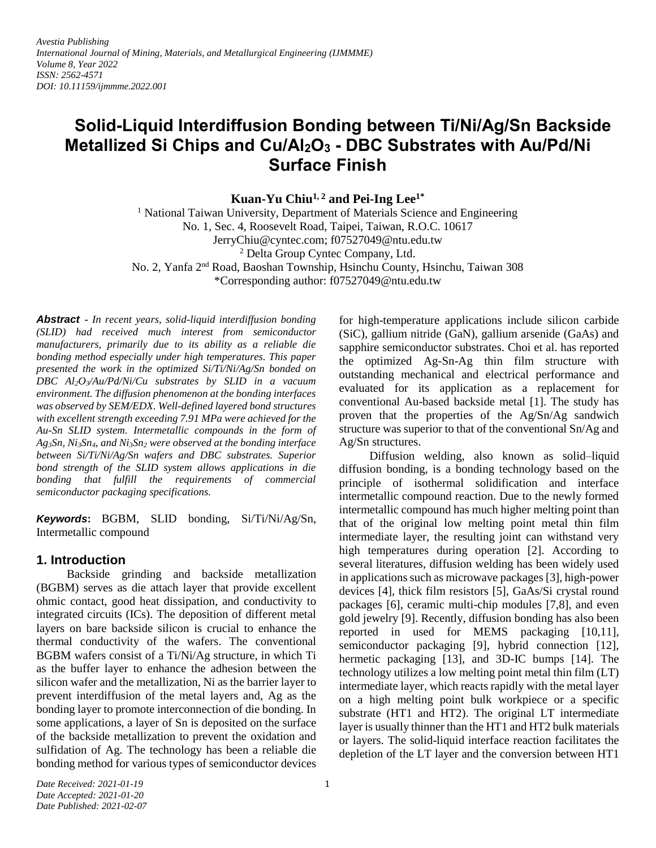*Avestia Publishing International Journal of Mining, Materials, and Metallurgical Engineering (IJMMME) Volume 8, Year 2022 ISSN: 2562-4571 DOI: 10.11159/ijmmme.2022.001*

# **Solid-Liquid Interdiffusion Bonding between Ti/Ni/Ag/Sn Backside Metallized Si Chips and Cu/Al2O<sup>3</sup> - DBC Substrates with Au/Pd/Ni Surface Finish**

**Kuan-Yu Chiu1, 2 and Pei-Ing Lee1\***

<sup>1</sup> National Taiwan University, Department of Materials Science and Engineering No. 1, Sec. 4, Roosevelt Road, Taipei, Taiwan, R.O.C. 10617 JerryChiu@cyntec.com; f07527049@ntu.edu.tw <sup>2</sup> Delta Group Cyntec Company, Ltd. No. 2, Yanfa 2nd Road, Baoshan Township, Hsinchu County, Hsinchu, Taiwan 308 \*Corresponding author: f07527049@ntu.edu.tw

*Abstract* **-** *In recent years, solid-liquid interdiffusion bonding (SLID) had received much interest from semiconductor manufacturers, primarily due to its ability as a reliable die bonding method especially under high temperatures. This paper presented the work in the optimized Si/Ti/Ni/Ag/Sn bonded on DBC Al2O3/Au/Pd/Ni/Cu substrates by SLID in a vacuum environment. The diffusion phenomenon at the bonding interfaces was observed by SEM/EDX. Well-defined layered bond structures with excellent strength exceeding 7.91 MPa were achieved for the Au-Sn SLID system. Intermetallic compounds in the form of Ag3Sn, Ni3Sn4, and Ni3Sn<sup>2</sup> were observed at the bonding interface between Si/Ti/Ni/Ag/Sn wafers and DBC substrates. Superior bond strength of the SLID system allows applications in die bonding that fulfill the requirements of commercial semiconductor packaging specifications.*

*Keywords***:** BGBM, SLID bonding, Si/Ti/Ni/Ag/Sn, Intermetallic compound

# **1. Introduction**

Backside grinding and backside metallization (BGBM) serves as die attach layer that provide excellent ohmic contact, good heat dissipation, and conductivity to integrated circuits (ICs). The deposition of different metal layers on bare backside silicon is crucial to enhance the thermal conductivity of the wafers. The conventional BGBM wafers consist of a Ti/Ni/Ag structure, in which Ti as the buffer layer to enhance the adhesion between the silicon wafer and the metallization, Ni as the barrier layer to prevent interdiffusion of the metal layers and, Ag as the bonding layer to promote interconnection of die bonding. In some applications, a layer of Sn is deposited on the surface of the backside metallization to prevent the oxidation and sulfidation of Ag. The technology has been a reliable die bonding method for various types of semiconductor devices

for high-temperature applications include silicon carbide (SiC), gallium nitride (GaN), gallium arsenide (GaAs) and sapphire semiconductor substrates. Choi et al. has reported the optimized Ag-Sn-Ag thin film structure with outstanding mechanical and electrical performance and evaluated for its application as a replacement for conventional Au-based backside metal [1]. The study has proven that the properties of the Ag/Sn/Ag sandwich structure was superior to that of the conventional Sn/Ag and Ag/Sn structures.

Diffusion welding, also known as solid–liquid diffusion bonding, is a bonding technology based on the principle of isothermal solidification and interface intermetallic compound reaction. Due to the newly formed intermetallic compound has much higher melting point than that of the original low melting point metal thin film intermediate layer, the resulting joint can withstand very high temperatures during operation [2]. According to several literatures, diffusion welding has been widely used in applications such as microwave packages [3], high-power devices [4], thick film resistors [5], GaAs/Si crystal round packages [6], ceramic multi-chip modules [7,8], and even gold jewelry [9]. Recently, diffusion bonding has also been reported in used for MEMS packaging [10,11], semiconductor packaging [9], hybrid connection [12], hermetic packaging [13], and 3D-IC bumps [14]. The technology utilizes a low melting point metal thin film (LT) intermediate layer, which reacts rapidly with the metal layer on a high melting point bulk workpiece or a specific substrate (HT1 and HT2). The original LT intermediate layer is usually thinner than the HT1 and HT2 bulk materials or layers. The solid-liquid interface reaction facilitates the depletion of the LT layer and the conversion between HT1

*Date Received: 2021-01-19 Date Accepted: 2021-01-20 Date Published: 2021-02-07*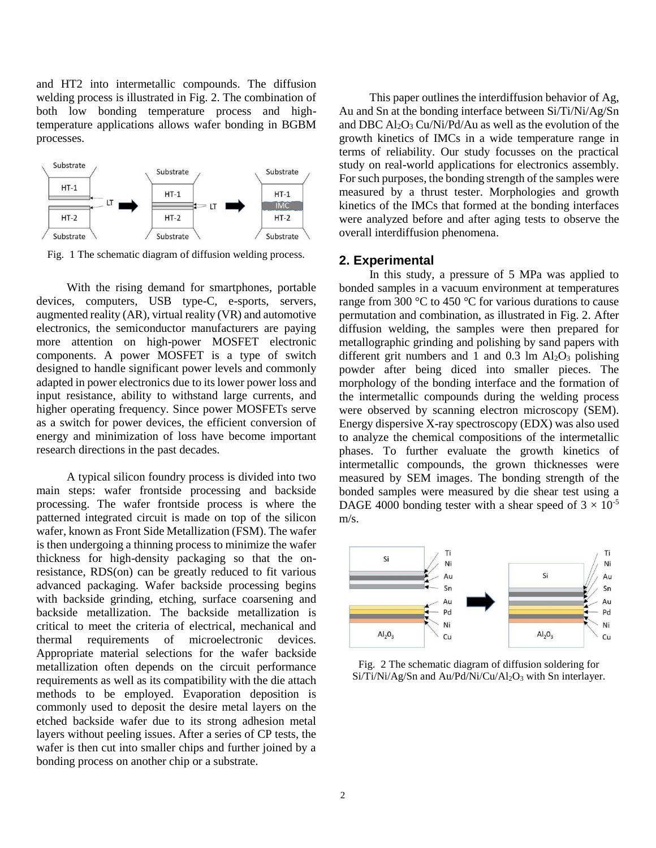and HT2 into intermetallic compounds. The diffusion welding process is illustrated in Fig. 2. The combination of both low bonding temperature process and hightemperature applications allows wafer bonding in BGBM processes.



Fig. 1 The schematic diagram of diffusion welding process.

With the rising demand for smartphones, portable devices, computers, USB type-C, e-sports, servers, augmented reality (AR), virtual reality (VR) and automotive electronics, the semiconductor manufacturers are paying more attention on high-power MOSFET electronic components. A power MOSFET is a type of switch designed to handle significant power levels and commonly adapted in power electronics due to its lower power loss and input resistance, ability to withstand large currents, and higher operating frequency. Since power MOSFETs serve as a switch for power devices, the efficient conversion of energy and minimization of loss have become important research directions in the past decades.

A typical silicon foundry process is divided into two main steps: wafer frontside processing and backside processing. The wafer frontside process is where the patterned integrated circuit is made on top of the silicon wafer, known as Front Side Metallization (FSM). The wafer is then undergoing a thinning process to minimize the wafer thickness for high-density packaging so that the onresistance, RDS(on) can be greatly reduced to fit various advanced packaging. Wafer backside processing begins with backside grinding, etching, surface coarsening and backside metallization. The backside metallization is critical to meet the criteria of electrical, mechanical and thermal requirements of microelectronic devices. Appropriate material selections for the wafer backside metallization often depends on the circuit performance requirements as well as its compatibility with the die attach methods to be employed. Evaporation deposition is commonly used to deposit the desire metal layers on the etched backside wafer due to its strong adhesion metal layers without peeling issues. After a series of CP tests, the wafer is then cut into smaller chips and further joined by a bonding process on another chip or a substrate.

This paper outlines the interdiffusion behavior of Ag, Au and Sn at the bonding interface between Si/Ti/Ni/Ag/Sn and DBC  $Al_2O_3$  Cu/Ni/Pd/Au as well as the evolution of the growth kinetics of IMCs in a wide temperature range in terms of reliability. Our study focusses on the practical study on real-world applications for electronics assembly. For such purposes, the bonding strength of the samples were measured by a thrust tester. Morphologies and growth kinetics of the IMCs that formed at the bonding interfaces were analyzed before and after aging tests to observe the overall interdiffusion phenomena.

### **2. Experimental**

In this study, a pressure of 5 MPa was applied to bonded samples in a vacuum environment at temperatures range from 300 °C to 450 °C for various durations to cause permutation and combination, as illustrated in Fig. 2. After diffusion welding, the samples were then prepared for metallographic grinding and polishing by sand papers with different grit numbers and 1 and 0.3 lm  $Al_2O_3$  polishing powder after being diced into smaller pieces. The morphology of the bonding interface and the formation of the intermetallic compounds during the welding process were observed by scanning electron microscopy (SEM). Energy dispersive X-ray spectroscopy (EDX) was also used to analyze the chemical compositions of the intermetallic phases. To further evaluate the growth kinetics of intermetallic compounds, the grown thicknesses were measured by SEM images. The bonding strength of the bonded samples were measured by die shear test using a DAGE 4000 bonding tester with a shear speed of  $3 \times 10^{-5}$ m/s.



Fig. 2 The schematic diagram of diffusion soldering for Si/Ti/Ni/Ag/Sn and Au/Pd/Ni/Cu/Al<sub>2</sub>O<sub>3</sub> with Sn interlayer.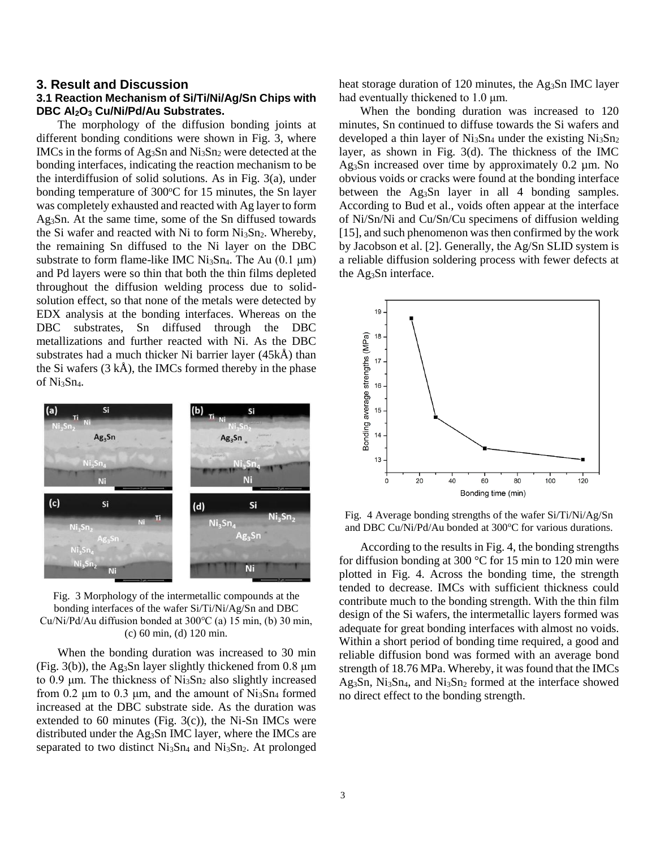## **3. Result and Discussion 3.1 Reaction Mechanism of Si/Ti/Ni/Ag/Sn Chips with DBC Al2O<sup>3</sup> Cu/Ni/Pd/Au Substrates.**

The morphology of the diffusion bonding joints at different bonding conditions were shown in Fig. 3, where IMCs in the forms of Ag<sub>3</sub>Sn and  $Ni<sub>3</sub>Sn<sub>2</sub>$  were detected at the bonding interfaces, indicating the reaction mechanism to be the interdiffusion of solid solutions. As in Fig. 3(a), under bonding temperature of  $300^{\circ}$ C for 15 minutes, the Sn layer was completely exhausted and reacted with Ag layer to form Ag3Sn. At the same time, some of the Sn diffused towards the Si wafer and reacted with Ni to form  $Ni<sub>3</sub>Sn<sub>2</sub>$ . Whereby, the remaining Sn diffused to the Ni layer on the DBC substrate to form flame-like IMC  $Ni_3Sn_4$ . The Au (0.1  $\mu$ m) and Pd layers were so thin that both the thin films depleted throughout the diffusion welding process due to solidsolution effect, so that none of the metals were detected by EDX analysis at the bonding interfaces. Whereas on the DBC substrates, Sn diffused through the DBC metallizations and further reacted with Ni. As the DBC substrates had a much thicker Ni barrier layer (45kÅ) than the Si wafers (3 kÅ), the IMCs formed thereby in the phase of Ni3Sn4.



Fig. 3 Morphology of the intermetallic compounds at the bonding interfaces of the wafer Si/Ti/Ni/Ag/Sn and DBC Cu/Ni/Pd/Au diffusion bonded at 300℃ (a) 15 min, (b) 30 min, (c) 60 min, (d) 120 min.

When the bonding duration was increased to 30 min (Fig. 3(b)), the Ag<sub>3</sub>Sn layer slightly thickened from 0.8  $\mu$ m to 0.9 μm. The thickness of  $Ni<sub>3</sub>Sn<sub>2</sub>$  also slightly increased from 0.2  $\mu$ m to 0.3  $\mu$ m, and the amount of Ni<sub>3</sub>Sn<sub>4</sub> formed increased at the DBC substrate side. As the duration was extended to 60 minutes (Fig.  $3(c)$ ), the Ni-Sn IMCs were distributed under the Ag3Sn IMC layer, where the IMCs are separated to two distinct  $Ni<sub>3</sub>Sn<sub>4</sub>$  and  $Ni<sub>3</sub>Sn<sub>2</sub>$ . At prolonged heat storage duration of 120 minutes, the Ag<sub>3</sub>Sn IMC layer had eventually thickened to 1.0 μm.

When the bonding duration was increased to 120 minutes, Sn continued to diffuse towards the Si wafers and developed a thin layer of  $Ni_3Sn_4$  under the existing  $Ni_3Sn_2$ layer, as shown in Fig. 3(d). The thickness of the IMC Ag<sub>3</sub>Sn increased over time by approximately 0.2 µm. No obvious voids or cracks were found at the bonding interface between the Ag3Sn layer in all 4 bonding samples. According to Bud et al., voids often appear at the interface of Ni/Sn/Ni and Cu/Sn/Cu specimens of diffusion welding [15], and such phenomenon was then confirmed by the work by Jacobson et al. [2]. Generally, the Ag/Sn SLID system is a reliable diffusion soldering process with fewer defects at the Ag3Sn interface.



Fig. 4 Average bonding strengths of the wafer Si/Ti/Ni/Ag/Sn and DBC Cu/Ni/Pd/Au bonded at 300°C for various durations.

According to the results in Fig. 4, the bonding strengths for diffusion bonding at 300 °C for 15 min to 120 min were plotted in Fig. 4. Across the bonding time, the strength tended to decrease. IMCs with sufficient thickness could contribute much to the bonding strength. With the thin film design of the Si wafers, the intermetallic layers formed was adequate for great bonding interfaces with almost no voids. Within a short period of bonding time required, a good and reliable diffusion bond was formed with an average bond strength of 18.76 MPa. Whereby, it was found that the IMCs Ag<sub>3</sub>Sn, Ni<sub>3</sub>Sn<sub>4</sub>, and Ni<sub>3</sub>Sn<sub>2</sub> formed at the interface showed no direct effect to the bonding strength.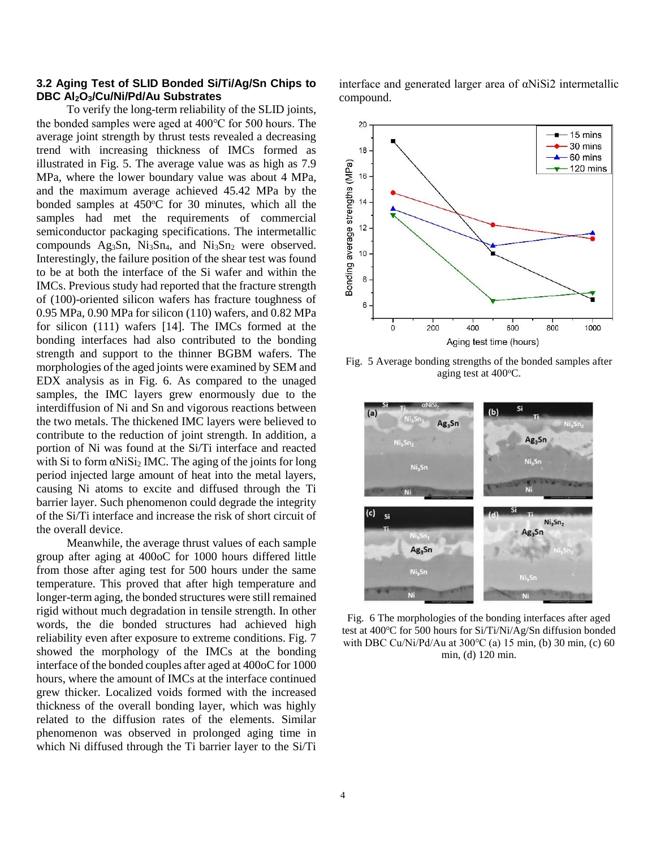## **3.2 Aging Test of SLID Bonded Si/Ti/Ag/Sn Chips to DBC Al2O3/Cu/Ni/Pd/Au Substrates**

To verify the long-term reliability of the SLID joints, the bonded samples were aged at 400℃ for 500 hours. The average joint strength by thrust tests revealed a decreasing trend with increasing thickness of IMCs formed as illustrated in Fig. 5. The average value was as high as 7.9 MPa, where the lower boundary value was about 4 MPa, and the maximum average achieved 45.42 MPa by the bonded samples at  $450^{\circ}$ C for 30 minutes, which all the samples had met the requirements of commercial semiconductor packaging specifications. The intermetallic compounds  $Ag_3Sn$ ,  $Ni_3Sn_4$ , and  $Ni_3Sn_2$  were observed. Interestingly, the failure position of the shear test was found to be at both the interface of the Si wafer and within the IMCs. Previous study had reported that the fracture strength of (100)-oriented silicon wafers has fracture toughness of 0.95 MPa, 0.90 MPa for silicon (110) wafers, and 0.82 MPa for silicon (111) wafers [14]. The IMCs formed at the bonding interfaces had also contributed to the bonding strength and support to the thinner BGBM wafers. The morphologies of the aged joints were examined by SEM and EDX analysis as in Fig. 6. As compared to the unaged samples, the IMC layers grew enormously due to the interdiffusion of Ni and Sn and vigorous reactions between the two metals. The thickened IMC layers were believed to contribute to the reduction of joint strength. In addition, a portion of Ni was found at the Si/Ti interface and reacted with Si to form  $\alpha$ NiSi<sub>2</sub> IMC. The aging of the joints for long period injected large amount of heat into the metal layers, causing Ni atoms to excite and diffused through the Ti barrier layer. Such phenomenon could degrade the integrity of the Si/Ti interface and increase the risk of short circuit of the overall device.

Meanwhile, the average thrust values of each sample group after aging at 400oC for 1000 hours differed little from those after aging test for 500 hours under the same temperature. This proved that after high temperature and longer-term aging, the bonded structures were still remained rigid without much degradation in tensile strength. In other words, the die bonded structures had achieved high reliability even after exposure to extreme conditions. Fig. 7 showed the morphology of the IMCs at the bonding interface of the bonded couples after aged at 400oC for 1000 hours, where the amount of IMCs at the interface continued grew thicker. Localized voids formed with the increased thickness of the overall bonding layer, which was highly related to the diffusion rates of the elements. Similar phenomenon was observed in prolonged aging time in which Ni diffused through the Ti barrier layer to the Si/Ti

interface and generated larger area of αNiSi2 intermetallic compound.



Fig. 5 Average bonding strengths of the bonded samples after aging test at 400°C.



Fig. 6 The morphologies of the bonding interfaces after aged test at 400°C for 500 hours for Si/Ti/Ni/Ag/Sn diffusion bonded with DBC Cu/Ni/Pd/Au at 300℃ (a) 15 min, (b) 30 min, (c) 60 min, (d) 120 min.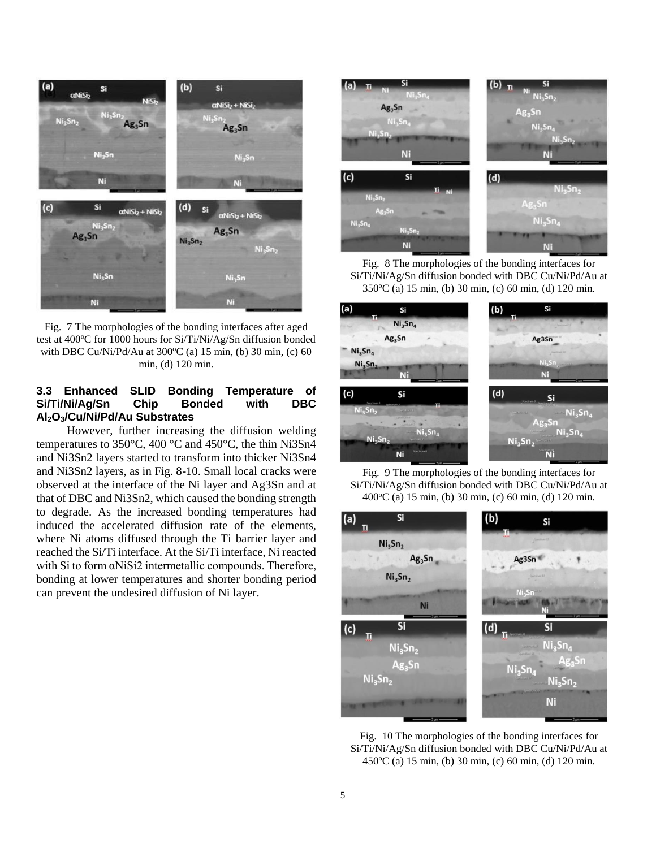

Fig. 7 The morphologies of the bonding interfaces after aged test at 400°C for 1000 hours for Si/Ti/Ni/Ag/Sn diffusion bonded with DBC Cu/Ni/Pd/Au at  $300^{\circ}$ C (a) 15 min, (b) 30 min, (c) 60 min, (d) 120 min.

# **3.3 Enhanced SLID Bonding Temperature of Si/Ti/Ni/Ag/Sn Chip Bonded with DBC Al2O3/Cu/Ni/Pd/Au Substrates**

However, further increasing the diffusion welding temperatures to 350°C, 400 °C and 450°C, the thin Ni3Sn4 and Ni3Sn2 layers started to transform into thicker Ni3Sn4 and Ni3Sn2 layers, as in Fig. 8-10. Small local cracks were observed at the interface of the Ni layer and Ag3Sn and at that of DBC and Ni3Sn2, which caused the bonding strength to degrade. As the increased bonding temperatures had induced the accelerated diffusion rate of the elements, where Ni atoms diffused through the Ti barrier layer and reached the Si/Ti interface. At the Si/Ti interface, Ni reacted with Si to form αNiSi2 intermetallic compounds. Therefore, bonding at lower temperatures and shorter bonding period can prevent the undesired diffusion of Ni layer.



Fig. 8 The morphologies of the bonding interfaces for Si/Ti/Ni/Ag/Sn diffusion bonded with DBC Cu/Ni/Pd/Au at 350<sup>o</sup>C (a) 15 min, (b) 30 min, (c) 60 min, (d) 120 min.



Fig. 9 The morphologies of the bonding interfaces for Si/Ti/Ni/Ag/Sn diffusion bonded with DBC Cu/Ni/Pd/Au at 400 °C (a) 15 min, (b) 30 min, (c) 60 min, (d) 120 min.



Fig. 10 The morphologies of the bonding interfaces for Si/Ti/Ni/Ag/Sn diffusion bonded with DBC Cu/Ni/Pd/Au at 450<sup>o</sup>C (a) 15 min, (b) 30 min, (c) 60 min, (d) 120 min.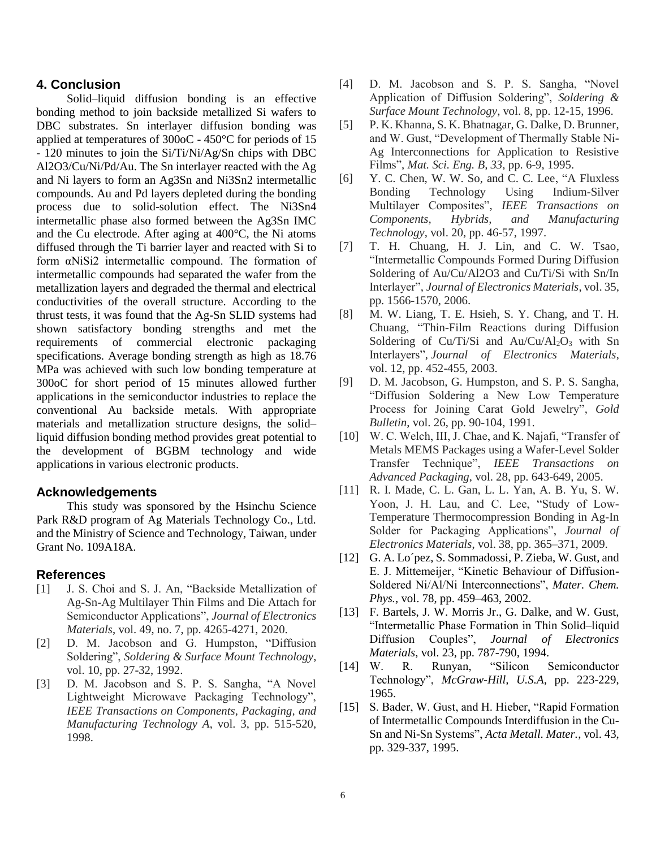## **4. Conclusion**

Solid–liquid diffusion bonding is an effective bonding method to join backside metallized Si wafers to DBC substrates. Sn interlayer diffusion bonding was applied at temperatures of 300oC - 450°C for periods of 15 - 120 minutes to join the Si/Ti/Ni/Ag/Sn chips with DBC Al2O3/Cu/Ni/Pd/Au. The Sn interlayer reacted with the Ag and Ni layers to form an Ag3Sn and Ni3Sn2 intermetallic compounds. Au and Pd layers depleted during the bonding process due to solid-solution effect. The Ni3Sn4 intermetallic phase also formed between the Ag3Sn IMC and the Cu electrode. After aging at 400°C, the Ni atoms diffused through the Ti barrier layer and reacted with Si to form αNiSi2 intermetallic compound. The formation of intermetallic compounds had separated the wafer from the metallization layers and degraded the thermal and electrical conductivities of the overall structure. According to the thrust tests, it was found that the Ag-Sn SLID systems had shown satisfactory bonding strengths and met the requirements of commercial electronic packaging specifications. Average bonding strength as high as 18.76 MPa was achieved with such low bonding temperature at 300oC for short period of 15 minutes allowed further applications in the semiconductor industries to replace the conventional Au backside metals. With appropriate materials and metallization structure designs, the solid– liquid diffusion bonding method provides great potential to the development of BGBM technology and wide applications in various electronic products.

### **Acknowledgements**

This study was sponsored by the Hsinchu Science Park R&D program of Ag Materials Technology Co., Ltd. and the Ministry of Science and Technology, Taiwan, under Grant No. 109A18A.

### **References**

- [1] J. S. Choi and S. J. An, "Backside Metallization of Ag-Sn-Ag Multilayer Thin Films and Die Attach for Semiconductor Applications", *Journal of Electronics Materials*, vol. 49, no. 7, pp. 4265-4271, 2020.
- [2] D. M. Jacobson and G. Humpston, "Diffusion Soldering", *Soldering & Surface Mount Technology*, vol. 10, pp. 27-32, 1992.
- [3] D. M. Jacobson and S. P. S. Sangha, "A Novel Lightweight Microwave Packaging Technology", *IEEE Transactions on Components, Packaging, and Manufacturing Technology A*, vol. 3, pp. 515-520, 1998.
- [4] D. M. Jacobson and S. P. S. Sangha, "Novel Application of Diffusion Soldering", *Soldering & Surface Mount Technology*, vol. 8, pp. 12-15, 1996.
- [5] P. K. Khanna, S. K. Bhatnagar, G. Dalke, D. Brunner, and W. Gust, "Development of Thermally Stable Ni-Ag Interconnections for Application to Resistive Films", *Mat. Sci. Eng. B, 33*, pp. 6-9, 1995.
- [6] Y. C. Chen, W. W. So, and C. C. Lee, "A Fluxless Bonding Technology Using Indium-Silver Multilayer Composites", *IEEE Transactions on Components, Hybrids, and Manufacturing Technology*, vol. 20, pp. 46-57, 1997.
- [7] T. H. Chuang, H. J. Lin, and C. W. Tsao, "Intermetallic Compounds Formed During Diffusion Soldering of Au/Cu/Al2O3 and Cu/Ti/Si with Sn/In Interlayer", *Journal of Electronics Materials*, vol. 35, pp. 1566-1570, 2006.
- [8] M. W. Liang, T. E. Hsieh, S. Y. Chang, and T. H. Chuang, "Thin-Film Reactions during Diffusion Soldering of Cu/Ti/Si and Au/Cu/Al<sub>2</sub>O<sub>3</sub> with Sn Interlayers", *Journal of Electronics Materials*, vol. 12, pp. 452-455, 2003.
- [9] D. M. Jacobson, G. Humpston, and S. P. S. Sangha, "Diffusion Soldering a New Low Temperature Process for Joining Carat Gold Jewelry", *Gold Bulletin*, vol. 26, pp. 90-104, 1991.
- [10] W. C. Welch, III, J. Chae, and K. Najafi, "Transfer of Metals MEMS Packages using a Wafer-Level Solder Transfer Technique", *IEEE Transactions on Advanced Packaging*, vol. 28, pp. 643-649, 2005.
- [11] R. I. Made, C. L. Gan, L. L. Yan, A. B. Yu, S. W. Yoon, J. H. Lau, and C. Lee, "Study of Low-Temperature Thermocompression Bonding in Ag-In Solder for Packaging Applications", *Journal of Electronics Materials*, vol. 38, pp. 365–371, 2009.
- [12] G. A. Lo´pez, S. Sommadossi, P. Zieba, W. Gust, and E. J. Mittemeijer, "Kinetic Behaviour of Diffusion-Soldered Ni/Al/Ni Interconnections", *Mater. Chem. Phys.*, vol. 78, pp. 459–463, 2002.
- [13] F. Bartels, J. W. Morris Jr., G. Dalke, and W. Gust, "Intermetallic Phase Formation in Thin Solid–liquid Diffusion Couples", *Journal of Electronics Materials*, vol. 23, pp. 787-790, 1994.
- [14] W. R. Runyan, "Silicon Semiconductor Technology", *McGraw-Hill, U.S.A*, pp. 223-229, 1965.
- [15] S. Bader, W. Gust, and H. Hieber, "Rapid Formation of Intermetallic Compounds Interdiffusion in the Cu-Sn and Ni-Sn Systems", *Acta Metall. Mater.*, vol. 43, pp. 329-337, 1995.